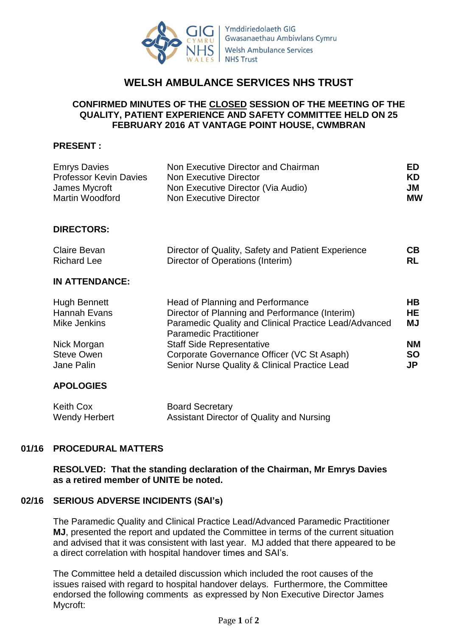

# **WELSH AMBULANCE SERVICES NHS TRUST**

## **CONFIRMED MINUTES OF THE CLOSED SESSION OF THE MEETING OF THE QUALITY, PATIENT EXPERIENCE AND SAFETY COMMITTEE HELD ON 25 FEBRUARY 2016 AT VANTAGE POINT HOUSE, CWMBRAN**

## **PRESENT :**

| Emrys Davies<br><b>Professor Kevin Davies</b> | Non Executive Director and Chairman<br>Non Executive Director | ED<br>KD  |
|-----------------------------------------------|---------------------------------------------------------------|-----------|
| James Mycroft                                 | Non Executive Director (Via Audio)                            | JM        |
| Martin Woodford                               | Non Executive Director                                        | <b>MW</b> |

### **DIRECTORS:**

| Claire Bevan       | Director of Quality, Safety and Patient Experience | CB  |
|--------------------|----------------------------------------------------|-----|
| <b>Richard Lee</b> | Director of Operations (Interim)                   | RL. |

## **IN ATTENDANCE:**

| <b>Hugh Bennett</b> | Head of Planning and Performance                      | HВ        |
|---------------------|-------------------------------------------------------|-----------|
| Hannah Evans        | Director of Planning and Performance (Interim)        | <b>HE</b> |
| Mike Jenkins        | Paramedic Quality and Clinical Practice Lead/Advanced | MJ        |
|                     | <b>Paramedic Practitioner</b>                         |           |
| Nick Morgan         | <b>Staff Side Representative</b>                      | <b>NM</b> |
| <b>Steve Owen</b>   | Corporate Governance Officer (VC St Asaph)            | <b>SO</b> |
| Jane Palin          | Senior Nurse Quality & Clinical Practice Lead         | JP.       |

## **APOLOGIES**

| Keith Cox     | <b>Board Secretary</b>                    |
|---------------|-------------------------------------------|
| Wendy Herbert | Assistant Director of Quality and Nursing |

### **01/16 PROCEDURAL MATTERS**

**RESOLVED: That the standing declaration of the Chairman, Mr Emrys Davies as a retired member of UNITE be noted.**

### **02/16 SERIOUS ADVERSE INCIDENTS (SAI's)**

The Paramedic Quality and Clinical Practice Lead/Advanced Paramedic Practitioner **MJ**, presented the report and updated the Committee in terms of the current situation and advised that it was consistent with last year. MJ added that there appeared to be a direct correlation with hospital handover times and SAI's.

The Committee held a detailed discussion which included the root causes of the issues raised with regard to hospital handover delays. Furthermore, the Committee endorsed the following comments as expressed by Non Executive Director James Mycroft: